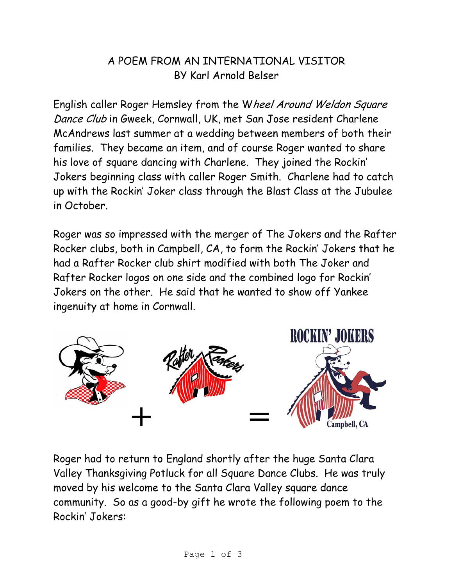## A POEM FROM AN INTERNATIONAL VISITOR BY Karl Arnold Belser

English caller Roger Hemsley from the Wheel Around Weldon Square Dance Club in Gweek, Cornwall, UK, met San Jose resident Charlene McAndrews last summer at a wedding between members of both their families. They became an item, and of course Roger wanted to share his love of square dancing with Charlene. They joined the Rockin' Jokers beginning class with caller Roger Smith. Charlene had to catch up with the Rockin' Joker class through the Blast Class at the Jubulee in October.

Roger was so impressed with the merger of The Jokers and the Rafter Rocker clubs, both in Campbell, CA, to form the Rockin' Jokers that he had a Rafter Rocker club shirt modified with both The Joker and Rafter Rocker logos on one side and the combined logo for Rockin' Jokers on the other. He said that he wanted to show off Yankee ingenuity at home in Cornwall.



Roger had to return to England shortly after the huge Santa Clara Valley Thanksgiving Potluck for all Square Dance Clubs. He was truly moved by his welcome to the Santa Clara Valley square dance community. So as a good-by gift he wrote the following poem to the Rockin' Jokers: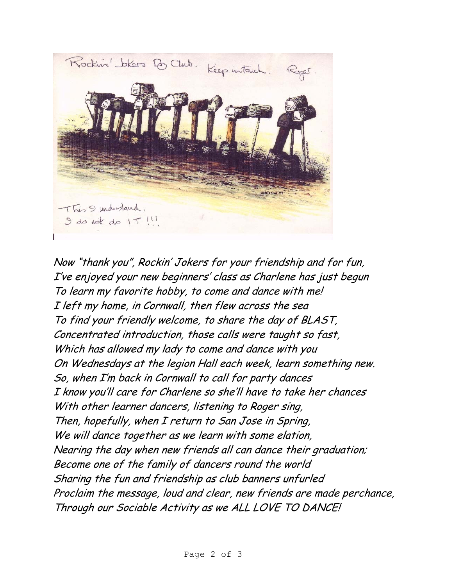

Now "thank you", Rockin' Jokers for your friendship and for fun, I've enjoyed your new beginners' class as Charlene has just begun To learn my favorite hobby, to come and dance with me! I left my home, in Cornwall, then flew across the sea To find your friendly welcome, to share the day of BLAST, Concentrated introduction, those calls were taught so fast, Which has allowed my lady to come and dance with you On Wednesdays at the legion Hall each week, learn something new. So, when I'm back in Cornwall to call for party dances I know you'll care for Charlene so she'll have to take her chances With other learner dancers, listening to Roger sing, Then, hopefully, when I return to San Jose in Spring, We will dance together as we learn with some elation, Nearing the day when new friends all can dance their graduation; Become one of the family of dancers round the world Sharing the fun and friendship as club banners unfurled Proclaim the message, loud and clear, new friends are made perchance, Through our Sociable Activity as we ALL LOVE TO DANCE!